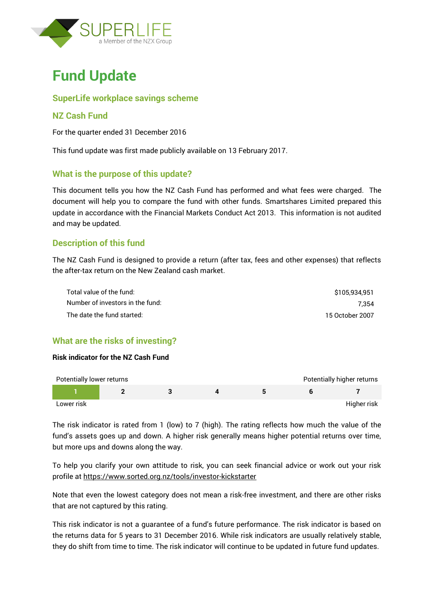



## **SuperLife workplace savings scheme**

#### **NZ Cash Fund**

For the quarter ended 31 December 2016

This fund update was first made publicly available on 13 February 2017.

#### **What is the purpose of this update?**

This document tells you how the NZ Cash Fund has performed and what fees were charged. The document will help you to compare the fund with other funds. Smartshares Limited prepared this update in accordance with the Financial Markets Conduct Act 2013. This information is not audited and may be updated.

#### **Description of this fund**

The NZ Cash Fund is designed to provide a return (after tax, fees and other expenses) that reflects the after-tax return on the New Zealand cash market.

| Total value of the fund:         | \$105,934,951   |
|----------------------------------|-----------------|
| Number of investors in the fund: | 7.354           |
| The date the fund started:       | 15 October 2007 |

# **What are the risks of investing?**

#### **Risk indicator for the NZ Cash Fund**

| Potentially lower returns |  |  | Potentially higher returns |
|---------------------------|--|--|----------------------------|
|                           |  |  |                            |
| Lower risk                |  |  | Higher risk                |

The risk indicator is rated from 1 (low) to 7 (high). The rating reflects how much the value of the fund's assets goes up and down. A higher risk generally means higher potential returns over time, but more ups and downs along the way.

To help you clarify your own attitude to risk, you can seek financial advice or work out your risk profile at<https://www.sorted.org.nz/tools/investor-kickstarter>

Note that even the lowest category does not mean a risk-free investment, and there are other risks that are not captured by this rating.

This risk indicator is not a guarantee of a fund's future performance. The risk indicator is based on the returns data for 5 years to 31 December 2016. While risk indicators are usually relatively stable, they do shift from time to time. The risk indicator will continue to be updated in future fund updates.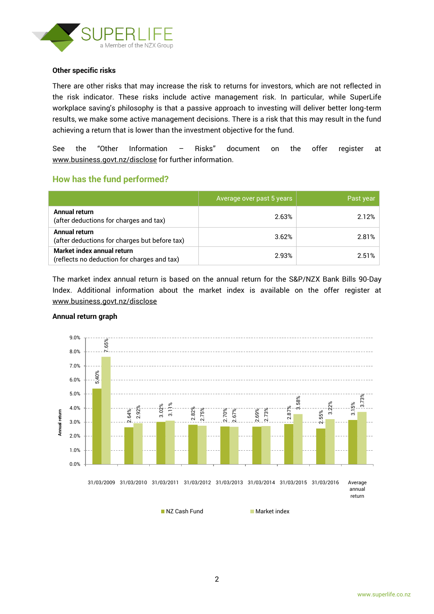

#### **Other specific risks**

There are other risks that may increase the risk to returns for investors, which are not reflected in the risk indicator. These risks include active management risk. In particular, while SuperLife workplace saving's philosophy is that a passive approach to investing will deliver better long-term results, we make some active management decisions. There is a risk that this may result in the fund achieving a return that is lower than the investment objective for the fund.

See the "Other Information – Risks" document on the offer register at www.business.govt.nz/disclose for further information.

## **How has the fund performed?**

|                                                                           | Average over past 5 years | Past year |
|---------------------------------------------------------------------------|---------------------------|-----------|
| Annual return<br>(after deductions for charges and tax)                   | 2.63%                     | 2.12%     |
| <b>Annual return</b><br>(after deductions for charges but before tax)     | 3.62%                     | 2.81%     |
| Market index annual return<br>(reflects no deduction for charges and tax) | 2.93%                     | 2.51%     |

The market index annual return is based on the annual return for the S&P/NZX Bank Bills 90-Day Index. Additional information about the market index is available on the offer register at [www.business.govt.nz/disclose](http://www.business.govt.nz/disclose)



#### **Annual return graph**

■ NZ Cash Fund Market index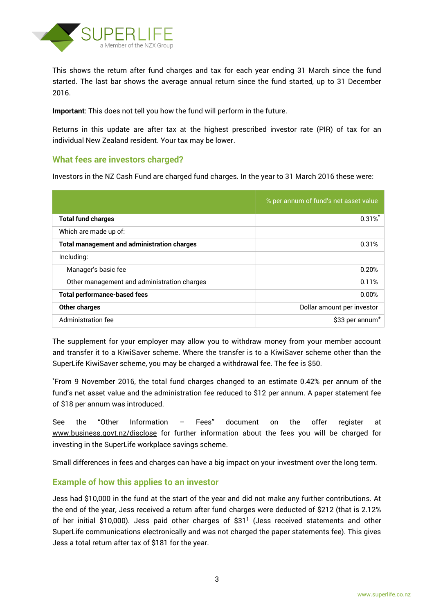

This shows the return after fund charges and tax for each year ending 31 March since the fund started. The last bar shows the average annual return since the fund started, up to 31 December 2016.

**Important**: This does not tell you how the fund will perform in the future.

Returns in this update are after tax at the highest prescribed investor rate (PIR) of tax for an individual New Zealand resident. Your tax may be lower.

## **What fees are investors charged?**

Investors in the NZ Cash Fund are charged fund charges. In the year to 31 March 2016 these were:

|                                                    | % per annum of fund's net asset value |
|----------------------------------------------------|---------------------------------------|
| <b>Total fund charges</b>                          | $0.31\%$                              |
| Which are made up of:                              |                                       |
| <b>Total management and administration charges</b> | 0.31%                                 |
| Including:                                         |                                       |
| Manager's basic fee                                | 0.20%                                 |
| Other management and administration charges        | 0.11%                                 |
| <b>Total performance-based fees</b>                | 0.00%                                 |
| <b>Other charges</b>                               | Dollar amount per investor            |
| Administration fee                                 | \$33 per annum <sup>*</sup>           |

The supplement for your employer may allow you to withdraw money from your member account and transfer it to a KiwiSaver scheme. Where the transfer is to a KiwiSaver scheme other than the SuperLife KiwiSaver scheme, you may be charged a withdrawal fee. The fee is \$50.

\*From 9 November 2016, the total fund charges changed to an estimate 0.42% per annum of the fund's net asset value and the administration fee reduced to \$12 per annum. A paper statement fee of \$18 per annum was introduced.

See the "Other Information – Fees" document on the offer register at www.business.govt.nz/disclose for further information about the fees you will be charged for investing in the SuperLife workplace savings scheme.

Small differences in fees and charges can have a big impact on your investment over the long term.

## **Example of how this applies to an investor**

Jess had \$10,000 in the fund at the start of the year and did not make any further contributions. At the end of the year, Jess received a return after fund charges were deducted of \$212 (that is 2.12% of her initial \$10,000). Jess paid other charges of \$31<sup>1</sup> (Jess received statements and other SuperLife communications electronically and was not charged the paper statements fee). This gives Jess a total return after tax of \$181 for the year.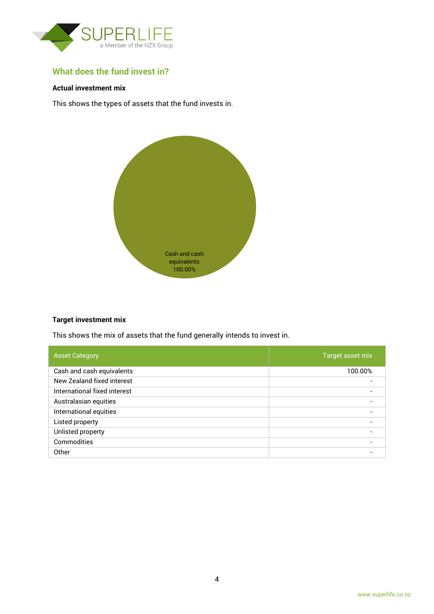

# **What does the fund invest in?**

#### **Actual investment mix**

This shows the types of assets that the fund invests in.



#### **Target investment mix**

This shows the mix of assets that the fund generally intends to invest in.

| <b>Asset Category</b>        | Target asset mix         |
|------------------------------|--------------------------|
| Cash and cash equivalents    | 100.00%                  |
| New Zealand fixed interest   |                          |
| International fixed interest | $\overline{\phantom{0}}$ |
| Australasian equities        | $\blacksquare$           |
| International equities       | $\overline{\phantom{0}}$ |
| Listed property              |                          |
| Unlisted property            | $\overline{\phantom{0}}$ |
| Commodities                  |                          |
| Other                        |                          |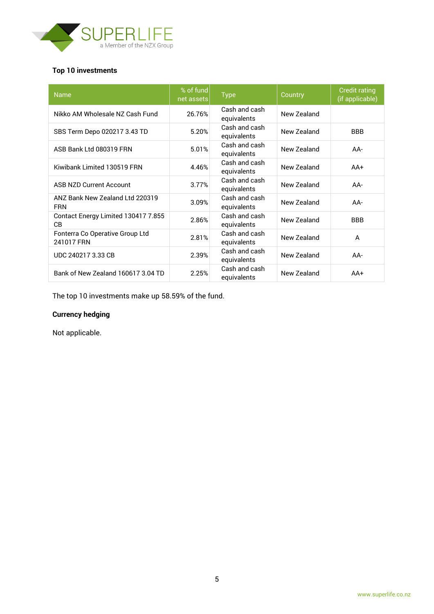

# **Top 10 investments**

| <b>Name</b>                                   | % of fund<br>net assets | <b>Type</b>                  | Country     | <b>Credit rating</b><br>(if applicable) |
|-----------------------------------------------|-------------------------|------------------------------|-------------|-----------------------------------------|
| Nikko AM Wholesale NZ Cash Fund               | 26.76%                  | Cash and cash<br>equivalents | New Zealand |                                         |
| SBS Term Depo 020217 3.43 TD                  | 5.20%                   | Cash and cash<br>equivalents | New Zealand | <b>BBB</b>                              |
| ASB Bank Ltd 080319 FRN                       | 5.01%                   | Cash and cash<br>equivalents | New Zealand | AA-                                     |
| Kiwibank Limited 130519 FRN                   | 4.46%                   | Cash and cash<br>equivalents | New Zealand | $AA+$                                   |
| <b>ASB NZD Current Account</b>                | 3.77%                   | Cash and cash<br>equivalents | New Zealand | AA-                                     |
| ANZ Bank New Zealand Ltd 220319<br><b>FRN</b> | 3.09%                   | Cash and cash<br>equivalents | New Zealand | $AA-$                                   |
| Contact Energy Limited 130417 7.855<br>CВ     | 2.86%                   | Cash and cash<br>equivalents | New Zealand | <b>BBB</b>                              |
| Fonterra Co Operative Group Ltd<br>241017 FRN | 2.81%                   | Cash and cash<br>equivalents | New Zealand | A                                       |
| UDC 240217 3.33 CB                            | 2.39%                   | Cash and cash<br>equivalents | New Zealand | AA-                                     |
| Bank of New Zealand 160617 3.04 TD            | 2.25%                   | Cash and cash<br>equivalents | New Zealand | $AA+$                                   |

The top 10 investments make up 58.59% of the fund.

# **Currency hedging**

Not applicable.